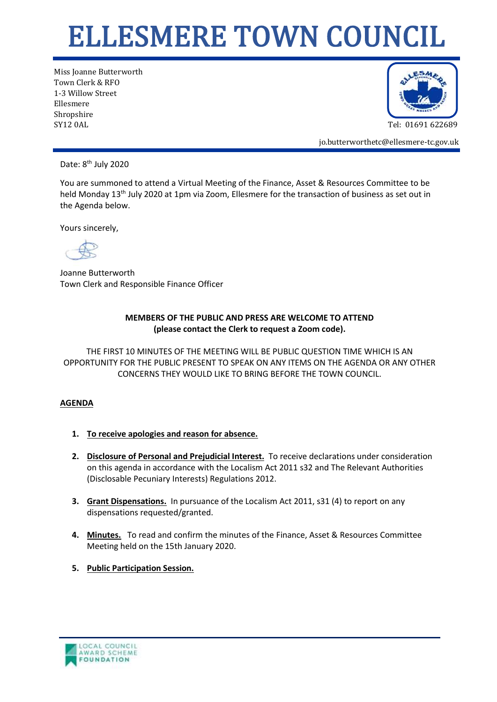## ELLESMERE TOWN COUNCIL

Miss Joanne Butterworth Town Clerk & RFO 1-3 Willow Street Ellesmere Shropshire SY12 0AL Tel: 01691 622689



jo.butterworthetc@ellesmere-tc.gov.uk

Date: 8<sup>th</sup> July 2020

You are summoned to attend a Virtual Meeting of the Finance, Asset & Resources Committee to be held Monday 13<sup>th</sup> July 2020 at 1pm via Zoom, Ellesmere for the transaction of business as set out in the Agenda below.

Yours sincerely,

Joanne Butterworth Town Clerk and Responsible Finance Officer

## **MEMBERS OF THE PUBLIC AND PRESS ARE WELCOME TO ATTEND (please contact the Clerk to request a Zoom code).**

THE FIRST 10 MINUTES OF THE MEETING WILL BE PUBLIC QUESTION TIME WHICH IS AN OPPORTUNITY FOR THE PUBLIC PRESENT TO SPEAK ON ANY ITEMS ON THE AGENDA OR ANY OTHER CONCERNS THEY WOULD LIKE TO BRING BEFORE THE TOWN COUNCIL.

## **AGENDA**

- **1. To receive apologies and reason for absence.**
- **2. Disclosure of Personal and Prejudicial Interest.** To receive declarations under consideration on this agenda in accordance with the Localism Act 2011 s32 and The Relevant Authorities (Disclosable Pecuniary Interests) Regulations 2012.
- **3. Grant Dispensations.** In pursuance of the Localism Act 2011, s31 (4) to report on any dispensations requested/granted.
- **4. Minutes.** To read and confirm the minutes of the Finance, Asset & Resources Committee Meeting held on the 15th January 2020.
- **5. Public Participation Session.**